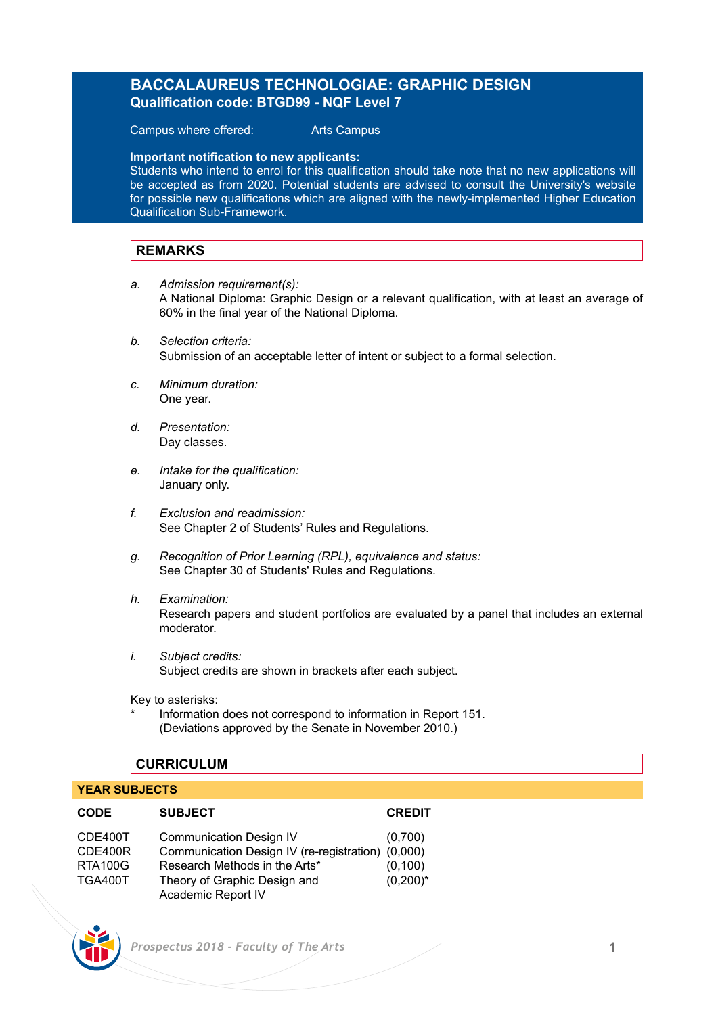## **BACCALAUREUS TECHNOLOGIAE: GRAPHIC DESIGN Qualification code: BTGD99 - NQF Level 7**

Campus where offered: Arts Campus

**Important notification to new applicants:** 

Students who intend to enrol for this qualification should take note that no new applications will be accepted as from 2020. Potential students are advised to consult the University's website for possible new qualifications which are aligned with the newly-implemented Higher Education Qualification Sub-Framework.

## **REMARKS**

- *a. Admission requirement(s):* A National Diploma: Graphic Design or a relevant qualification, with at least an average of 60% in the final year of the National Diploma.
- *b. Selection criteria:* Submission of an acceptable letter of intent or subject to a formal selection.
- *c. Minimum duration:* One year.
- *d. Presentation:* Day classes.
- *e. Intake for the qualification:* January only.
- *f. Exclusion and readmission:* See Chapter 2 of Students' Rules and Regulations.
- *g. Recognition of Prior Learning (RPL), equivalence and status:* See Chapter 30 of Students' Rules and Regulations.
- *h. Examination:* Research papers and student portfolios are evaluated by a panel that includes an external moderator.
- *i. Subject credits:* Subject credits are shown in brackets after each subject.

Key to asterisks:

Information does not correspond to information in Report 151. (Deviations approved by the Senate in November 2010.)

## **CURRICULUM**

#### **YEAR SUBJECTS**

| <b>CODE</b>    | <b>SUBJECT</b>                                    | <b>CREDIT</b> |
|----------------|---------------------------------------------------|---------------|
| CDE400T        | <b>Communication Design IV</b>                    | (0.700)       |
| CDE400R        | Communication Design IV (re-registration) (0,000) |               |
| <b>RTA100G</b> | Research Methods in the Arts*                     | (0, 100)      |
| <b>TGA400T</b> | Theory of Graphic Design and                      | $(0,200)^*$   |
|                | Academic Report IV                                |               |